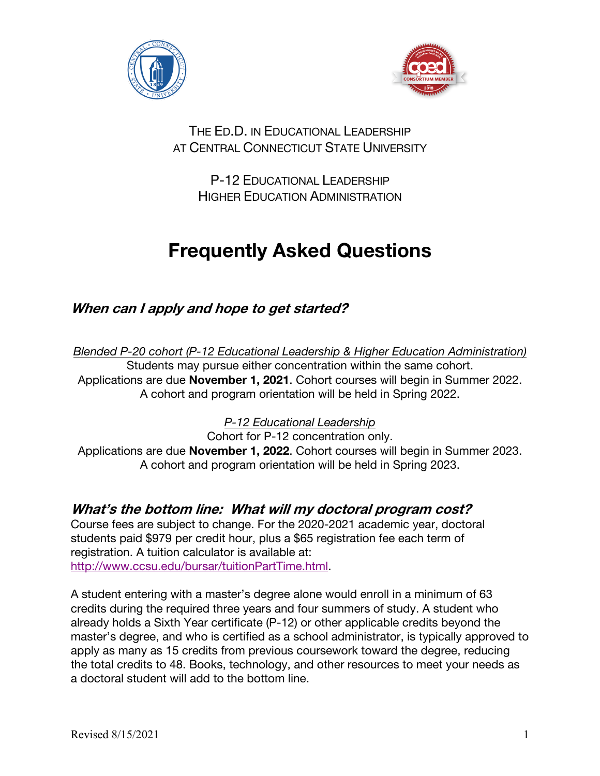



### THE ED.D. IN EDUCATIONAL LEADERSHIP AT CENTRAL CONNECTICUT STATE UNIVERSITY

P-12 EDUCATIONAL LEADERSHIP HIGHER EDUCATION ADMINISTRATION

# **Frequently Asked Questions**

**When can I apply and hope to get started?**

*Blended P-20 cohort (P-12 Educational Leadership & Higher Education Administration)* Students may pursue either concentration within the same cohort. Applications are due **November 1, 2021**. Cohort courses will begin in Summer 2022. A cohort and program orientation will be held in Spring 2022.

*P-12 Educational Leadership*

Cohort for P-12 concentration only. Applications are due **November 1, 2022**. Cohort courses will begin in Summer 2023. A cohort and program orientation will be held in Spring 2023.

# **What's the bottom line: What will my doctoral program cost?**

Course fees are subject to change. For the 2020-2021 academic year, doctoral students paid \$979 per credit hour, plus a \$65 registration fee each term of registration. A tuition calculator is available at: http://www.ccsu.edu/bursar/tuitionPartTime.html.

A student entering with a master's degree alone would enroll in a minimum of 63 credits during the required three years and four summers of study. A student who already holds a Sixth Year certificate (P-12) or other applicable credits beyond the master's degree, and who is certified as a school administrator, is typically approved to apply as many as 15 credits from previous coursework toward the degree, reducing the total credits to 48. Books, technology, and other resources to meet your needs as a doctoral student will add to the bottom line.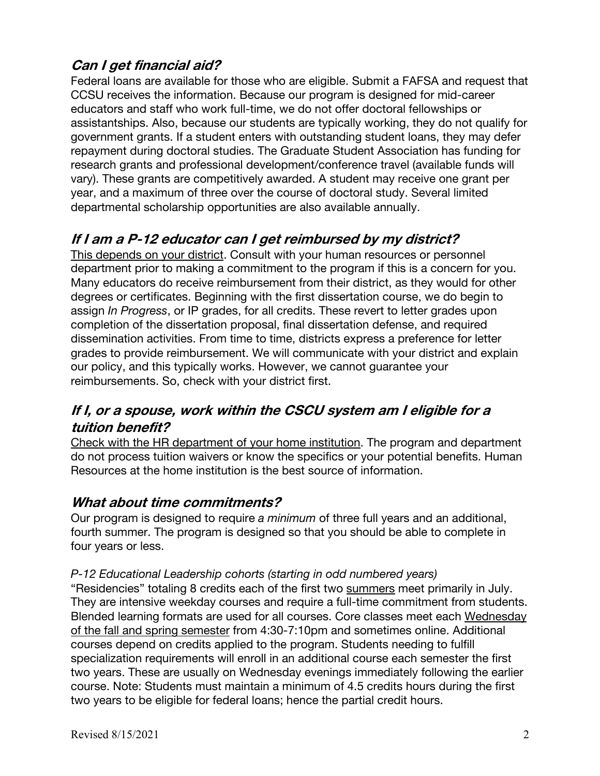### **Can I get financial aid?**

Federal loans are available for those who are eligible. Submit a FAFSA and request that CCSU receives the information. Because our program is designed for mid-career educators and staff who work full-time, we do not offer doctoral fellowships or assistantships. Also, because our students are typically working, they do not qualify for government grants. If a student enters with outstanding student loans, they may defer repayment during doctoral studies. The Graduate Student Association has funding for research grants and professional development/conference travel (available funds will vary). These grants are competitively awarded. A student may receive one grant per year, and a maximum of three over the course of doctoral study. Several limited departmental scholarship opportunities are also available annually.

# **If I am a P-12 educator can I get reimbursed by my district?**

This depends on your district. Consult with your human resources or personnel department prior to making a commitment to the program if this is a concern for you. Many educators do receive reimbursement from their district, as they would for other degrees or certificates. Beginning with the first dissertation course, we do begin to assign *In Progress*, or IP grades, for all credits. These revert to letter grades upon completion of the dissertation proposal, final dissertation defense, and required dissemination activities. From time to time, districts express a preference for letter grades to provide reimbursement. We will communicate with your district and explain our policy, and this typically works. However, we cannot guarantee your reimbursements. So, check with your district first.

# **If I, or a spouse, work within the CSCU system am I eligible for a tuition benefit?**

Check with the HR department of your home institution. The program and department do not process tuition waivers or know the specifics or your potential benefits. Human Resources at the home institution is the best source of information.

### **What about time commitments?**

Our program is designed to require *a minimum* of three full years and an additional, fourth summer. The program is designed so that you should be able to complete in four years or less.

#### *P-12 Educational Leadership cohorts (starting in odd numbered years)*

"Residencies" totaling 8 credits each of the first two summers meet primarily in July. They are intensive weekday courses and require a full-time commitment from students. Blended learning formats are used for all courses. Core classes meet each Wednesday of the fall and spring semester from 4:30-7:10pm and sometimes online. Additional courses depend on credits applied to the program. Students needing to fulfill specialization requirements will enroll in an additional course each semester the first two years. These are usually on Wednesday evenings immediately following the earlier course. Note: Students must maintain a minimum of 4.5 credits hours during the first two years to be eligible for federal loans; hence the partial credit hours.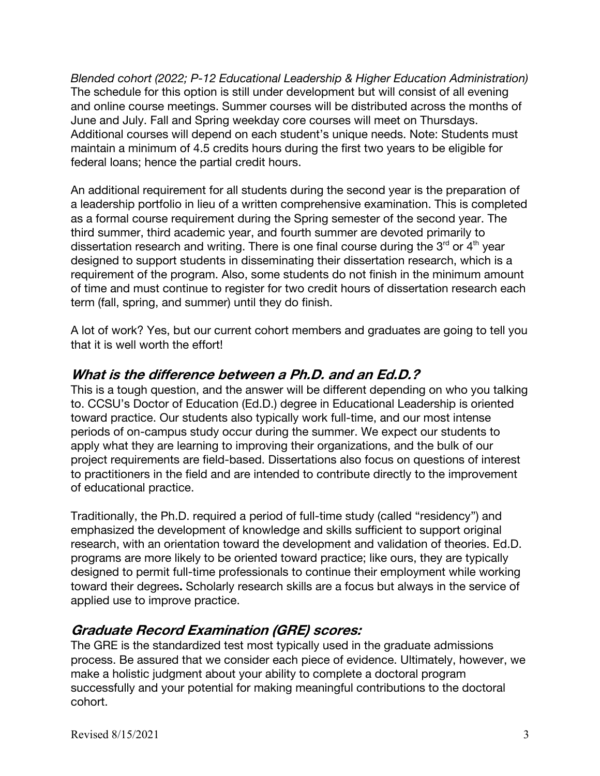*Blended cohort (2022; P-12 Educational Leadership & Higher Education Administration)* The schedule for this option is still under development but will consist of all evening and online course meetings. Summer courses will be distributed across the months of June and July. Fall and Spring weekday core courses will meet on Thursdays. Additional courses will depend on each student's unique needs. Note: Students must maintain a minimum of 4.5 credits hours during the first two years to be eligible for federal loans; hence the partial credit hours.

An additional requirement for all students during the second year is the preparation of a leadership portfolio in lieu of a written comprehensive examination. This is completed as a formal course requirement during the Spring semester of the second year. The third summer, third academic year, and fourth summer are devoted primarily to dissertation research and writing. There is one final course during the  $3<sup>rd</sup>$  or  $4<sup>th</sup>$  year designed to support students in disseminating their dissertation research, which is a requirement of the program. Also, some students do not finish in the minimum amount of time and must continue to register for two credit hours of dissertation research each term (fall, spring, and summer) until they do finish.

A lot of work? Yes, but our current cohort members and graduates are going to tell you that it is well worth the effort!

### **What is the difference between a Ph.D. and an Ed.D.?**

This is a tough question, and the answer will be different depending on who you talking to. CCSU's Doctor of Education (Ed.D.) degree in Educational Leadership is oriented toward practice. Our students also typically work full-time, and our most intense periods of on-campus study occur during the summer. We expect our students to apply what they are learning to improving their organizations, and the bulk of our project requirements are field-based. Dissertations also focus on questions of interest to practitioners in the field and are intended to contribute directly to the improvement of educational practice.

Traditionally, the Ph.D. required a period of full-time study (called "residency") and emphasized the development of knowledge and skills sufficient to support original research, with an orientation toward the development and validation of theories. Ed.D. programs are more likely to be oriented toward practice; like ours, they are typically designed to permit full-time professionals to continue their employment while working toward their degrees**.** Scholarly research skills are a focus but always in the service of applied use to improve practice.

### **Graduate Record Examination (GRE) scores:**

The GRE is the standardized test most typically used in the graduate admissions process. Be assured that we consider each piece of evidence. Ultimately, however, we make a holistic judgment about your ability to complete a doctoral program successfully and your potential for making meaningful contributions to the doctoral cohort.